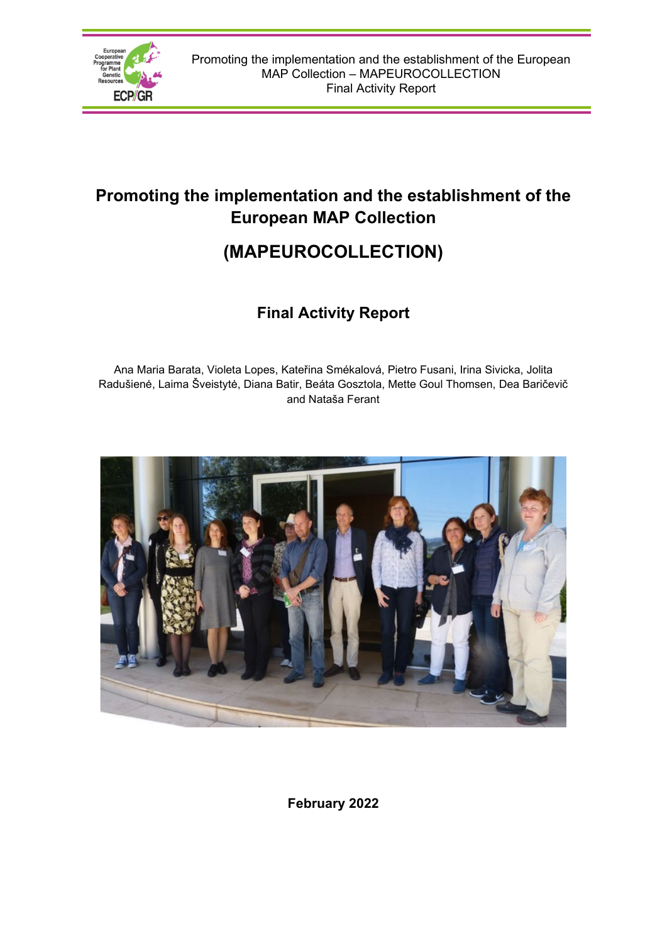

# **Promoting the implementation and the establishment of the European MAP Collection**

# **(MAPEUROCOLLECTION)**

# **Final Activity Report**

Ana Maria Barata, Violeta Lopes, Kateřina Smékalová, Pietro Fusani, Irina Sivicka, Jolita Radušienė, Laima Šveistytė, Diana Batir, Beáta Gosztola, Mette Goul Thomsen, Dea Baričevič and Nataša Ferant



**February 2022**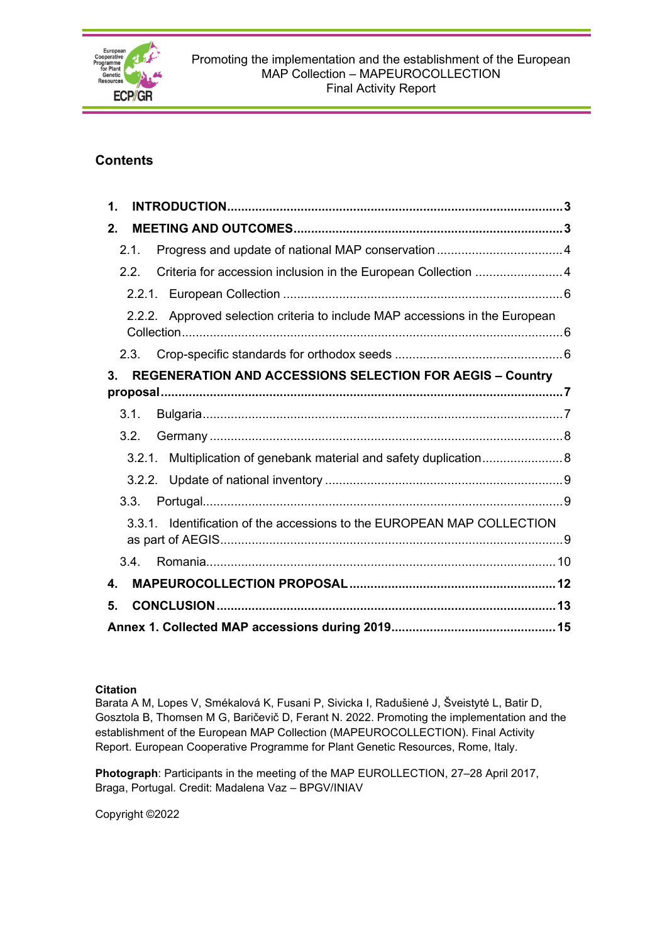

## **Contents**

| 1.                                                                                 |
|------------------------------------------------------------------------------------|
| 2 <sub>1</sub>                                                                     |
| 2.1.                                                                               |
| Criteria for accession inclusion in the European Collection  4<br>2.2.             |
| 2.2.1.                                                                             |
| Approved selection criteria to include MAP accessions in the European<br>2.2.2.    |
| 2.3.                                                                               |
| <b>REGENERATION AND ACCESSIONS SELECTION FOR AEGIS - Country</b><br>3 <sub>1</sub> |
| 3.1.                                                                               |
| 3.2.                                                                               |
| 3.2.1. Multiplication of genebank material and safety duplication                  |
|                                                                                    |
| 3.3.                                                                               |
| 3.3.1. Identification of the accessions to the EUROPEAN MAP COLLECTION             |
| 3.4.                                                                               |
| $\mathbf{4}$                                                                       |
| 5.                                                                                 |
|                                                                                    |

#### **Citation**

Barata A M, Lopes V, Smékalová K, Fusani P, Sivicka I, Radušienė J, Šveistytė L, Batir D, Gosztola B, Thomsen M G, Baričevič D, Ferant N. 2022. Promoting the implementation and the establishment of the European MAP Collection (MAPEUROCOLLECTION). Final Activity Report. European Cooperative Programme for Plant Genetic Resources, Rome, Italy.

**Photograph**: Participants in the meeting of the MAP EUROLLECTION, 27–28 April 2017, Braga, Portugal. Credit: Madalena Vaz – BPGV/INIAV

Copyright ©2022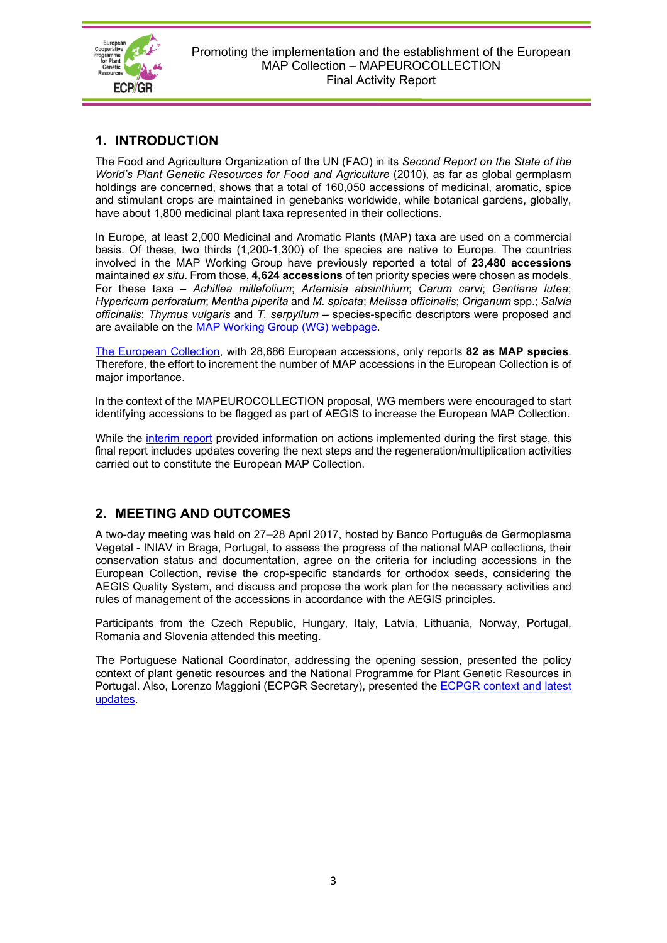

## <span id="page-2-0"></span>**1. INTRODUCTION**

The Food and Agriculture Organization of the UN (FAO) in its *Second Report on the State of the World's Plant Genetic Resources for Food and Agriculture* (2010), as far as global germplasm holdings are concerned, shows that a total of 160,050 accessions of medicinal, aromatic, spice and stimulant crops are maintained in genebanks worldwide, while botanical gardens, globally, have about 1,800 medicinal plant taxa represented in their collections.

In Europe, at least 2,000 Medicinal and Aromatic Plants (MAP) taxa are used on a commercial basis. Of these, two thirds (1,200-1,300) of the species are native to Europe. The countries involved in the MAP Working Group have previously reported a total of **23,480 accessions** maintained *ex situ*. From those, **4,624 accessions** of ten priority species were chosen as models. For these taxa – *Achillea millefolium*; *Artemisia absinthium*; *Carum carvi*; *Gentiana lutea*; *Hypericum perforatum*; *Mentha piperita* and *M. spicata*; *Melissa officinalis*; *Origanum* spp.; *Salvia officinalis*; *Thymus vulgaris* and *T. serpyllum –* species-specific descriptors were proposed and are available on the [MAP Working Group](https://www.ecpgr.cgiar.org/working-groups/medicinal-and-aromatic-plants) (WG) webpage.

[The European Collection,](http://www.ecpgr.cgiar.org/aegis/european-collection/) with 28,686 European accessions, only reports **82 as MAP species**. Therefore, the effort to increment the number of MAP accessions in the European Collection is of major importance.

In the context of the MAPEUROCOLLECTION proposal, WG members were encouraged to start identifying accessions to be flagged as part of AEGIS to increase the European MAP Collection.

While the [interim report](https://www.ecpgr.cgiar.org/fileadmin/bioversity/publications/pdfs/MAPEUROCOLLECTION_Interim_Activity_Report_Final_web_07_08_2018.pdf) provided information on actions implemented during the first stage, this final report includes updates covering the next steps and the regeneration/multiplication activities carried out to constitute the European MAP Collection.

## <span id="page-2-1"></span>**2. MEETING AND OUTCOMES**

A two-day meeting was held on 27–28 April 2017, hosted by Banco Português de Germoplasma Vegetal - INIAV in Braga, Portugal, to assess the progress of the national MAP collections, their conservation status and documentation, agree on the criteria for including accessions in the European Collection, revise the crop-specific standards for orthodox seeds, considering the AEGIS Quality System, and discuss and propose the work plan for the necessary activities and rules of management of the accessions in accordance with the AEGIS principles.

Participants from the Czech Republic, Hungary, Italy, Latvia, Lithuania, Norway, Portugal, Romania and Slovenia attended this meeting.

The Portuguese National Coordinator, addressing the opening session, presented the policy context of plant genetic resources and the National Programme for Plant Genetic Resources in Portugal. Also, Lorenzo Maggioni (ECPGR Secretary), presented the [ECPGR context and](http://www.ecpgr.cgiar.org/working-groups/medicinal-and-aromatic-plants/map-eurocollection/map-eurocollection-presentations/) latest [updates.](http://www.ecpgr.cgiar.org/working-groups/medicinal-and-aromatic-plants/map-eurocollection/map-eurocollection-presentations/)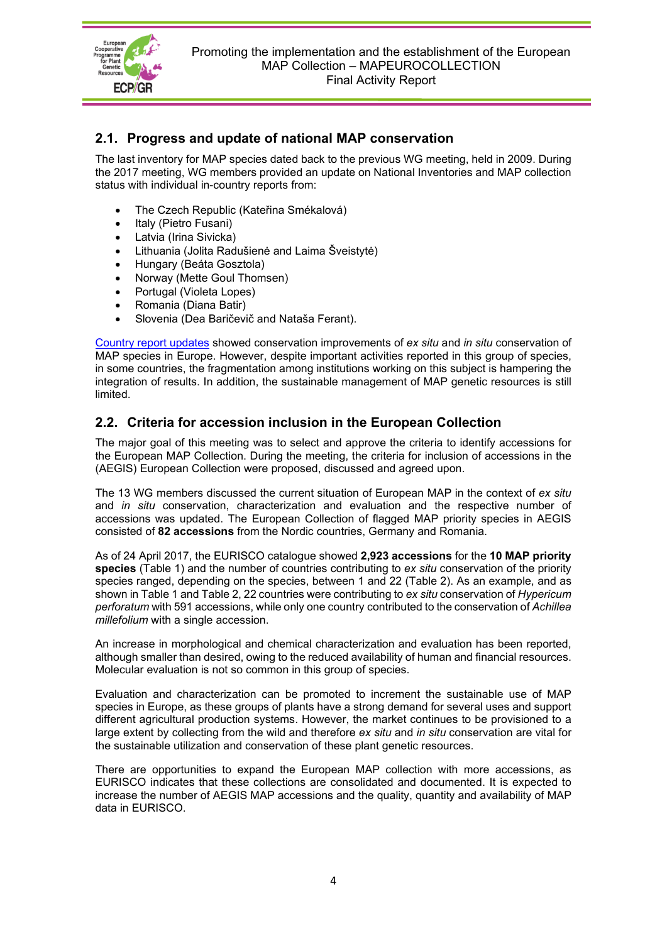

## <span id="page-3-0"></span>**2.1. Progress and update of national MAP conservation**

The last inventory for MAP species dated back to the previous WG meeting, held in 2009. During the 2017 meeting, WG members provided an update on National Inventories and MAP collection status with individual in-country reports from:

- The Czech Republic (Kateřina Smékalová)
- Italy (Pietro Fusani)
- Latvia (Irina Sivicka)
- Lithuania (Jolita Radušienė and Laima Šveistytė)
- Hungary (Beáta Gosztola)
- Norway (Mette Goul Thomsen)
- Portugal (Violeta Lopes)
- Romania (Diana Batir)
- Slovenia (Dea Baričevič and Nataša Ferant).

[Country report updates](https://www.ecpgr.cgiar.org/working-groups/medicinal-and-aromatic-plants/map-eurocollection/map-eurocollection-presentations/) showed conservation improvements of *ex situ* and *in situ* conservation of MAP species in Europe. However, despite important activities reported in this group of species, in some countries, the fragmentation among institutions working on this subject is hampering the integration of results. In addition, the sustainable management of MAP genetic resources is still limited.

## <span id="page-3-1"></span>**2.2. Criteria for accession inclusion in the European Collection**

The major goal of this meeting was to select and approve the criteria to identify accessions for the European MAP Collection. During the meeting, the criteria for inclusion of accessions in the (AEGIS) European Collection were proposed, discussed and agreed upon.

The 13 WG members discussed the current situation of European MAP in the context of *ex situ* and *in situ* conservation, characterization and evaluation and the respective number of accessions was updated. The European Collection of flagged MAP priority species in AEGIS consisted of **82 accessions** from the Nordic countries, Germany and Romania.

As of 24 April 2017, the EURISCO catalogue showed **2,923 accessions** for the **10 MAP priority species** (Table 1) and the number of countries contributing to *ex situ* conservation of the priority species ranged, depending on the species, between 1 and 22 (Table 2). As an example, and as shown in Table 1 and Table 2, 22 countries were contributing to *ex situ* conservation of *Hypericum perforatum* with 591 accessions, while only one country contributed to the conservation of *Achillea millefolium* with a single accession.

An increase in morphological and chemical characterization and evaluation has been reported, although smaller than desired, owing to the reduced availability of human and financial resources. Molecular evaluation is not so common in this group of species.

Evaluation and characterization can be promoted to increment the sustainable use of MAP species in Europe, as these groups of plants have a strong demand for several uses and support different agricultural production systems. However, the market continues to be provisioned to a large extent by collecting from the wild and therefore *ex situ* and *in situ* conservation are vital for the sustainable utilization and conservation of these plant genetic resources.

There are opportunities to expand the European MAP collection with more accessions, as EURISCO indicates that these collections are consolidated and documented. It is expected to increase the number of AEGIS MAP accessions and the quality, quantity and availability of MAP data in EURISCO.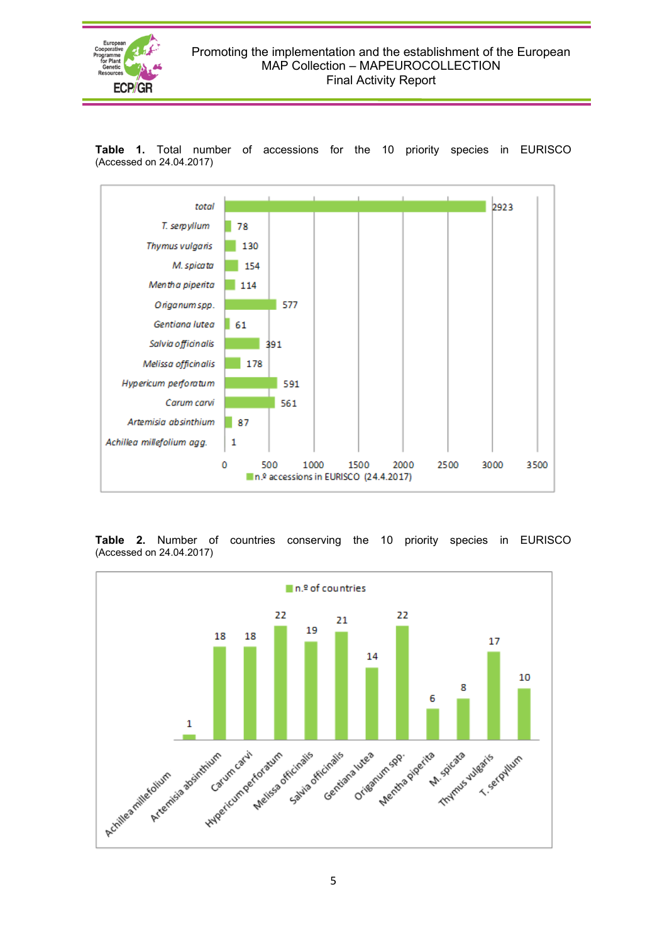



**Table 1.** Total number of accessions for the 10 priority species in EURISCO (Accessed on 24.04.2017)

**Table 2.** Number of countries conserving the 10 priority species in EURISCO (Accessed on 24.04.2017)

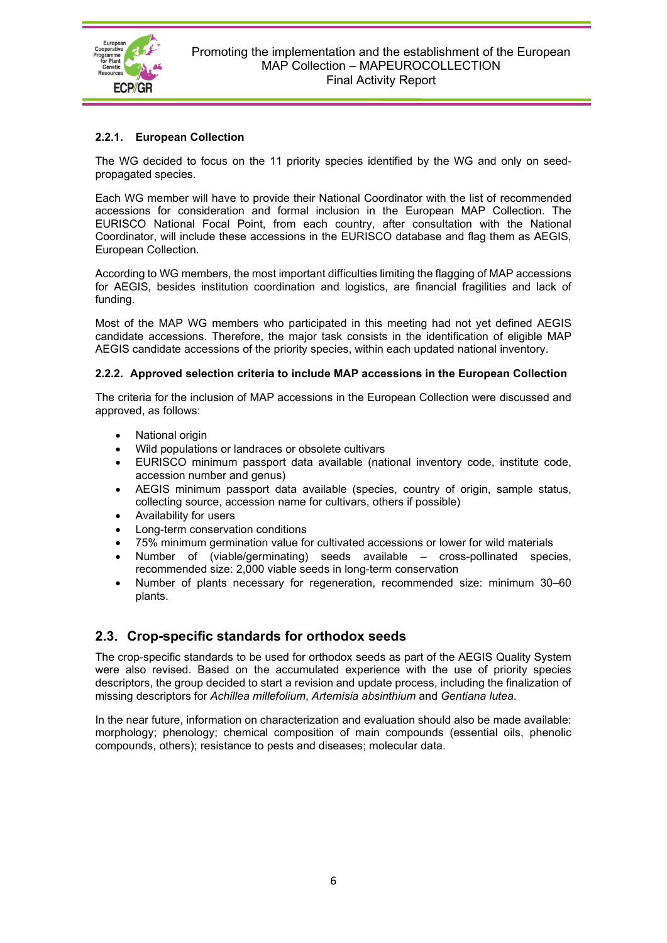

#### <span id="page-5-0"></span>**2.2.1. European Collection**

The WG decided to focus on the 11 priority species identified by the WG and only on seedpropagated species.

Each WG member will have to provide their National Coordinator with the list of recommended accessions for consideration and formal inclusion in the European MAP Collection. The EURISCO National Focal Point, from each country, after consultation with the National Coordinator, will include these accessions in the EURISCO database and flag them as AEGIS, European Collection.

According to WG members, the most important difficulties limiting the flagging of MAP accessions for AEGIS, besides institution coordination and logistics, are financial fragilities and lack of funding.

Most of the MAP WG members who participated in this meeting had not yet defined AEGIS candidate accessions. Therefore, the major task consists in the identification of eligible MAP AEGIS candidate accessions of the priority species, within each updated national inventory.

#### <span id="page-5-1"></span>**2.2.2. Approved selection criteria to include MAP accessions in the European Collection**

The criteria for the inclusion of MAP accessions in the European Collection were discussed and approved, as follows:

- National origin
- Wild populations or landraces or obsolete cultivars
- EURISCO minimum passport data available (national inventory code, institute code, accession number and genus)
- AEGIS minimum passport data available (species, country of origin, sample status, collecting source, accession name for cultivars, others if possible)
- Availability for users
- Long-term conservation conditions
- 75% minimum germination value for cultivated accessions or lower for wild materials
- Number of (viable/germinating) seeds available cross-pollinated species, recommended size: 2,000 viable seeds in long-term conservation
- Number of plants necessary for regeneration, recommended size: minimum 30–60 plants.

## <span id="page-5-2"></span>**2.3. Crop-specific standards for orthodox seeds**

The crop-specific standards to be used for orthodox seeds as part of the AEGIS Quality System were also revised. Based on the accumulated experience with the use of priority species descriptors, the group decided to start a revision and update process, including the finalization of missing descriptors for *Achillea millefolium*, *Artemisia absinthium* and *Gentiana lutea*.

In the near future, information on characterization and evaluation should also be made available: morphology; phenology; chemical composition of main compounds (essential oils, phenolic compounds, others); resistance to pests and diseases; molecular data.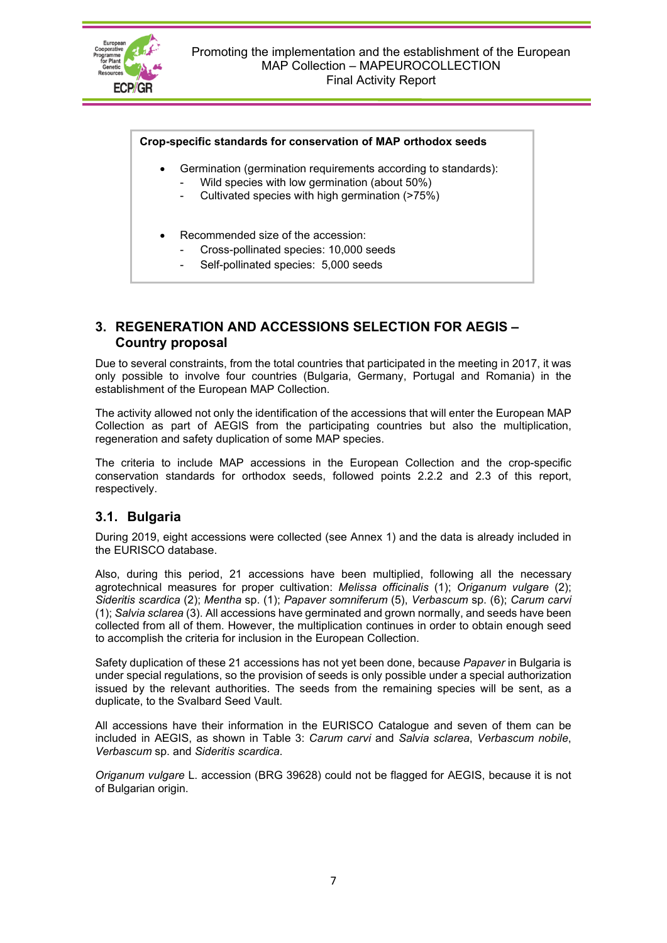

#### **Crop-specific standards for conservation of MAP orthodox seeds**

- Germination (germination requirements according to standards):
	- Wild species with low germination (about 50%)
	- Cultivated species with high germination (>75%)
- Recommended size of the accession:
	- Cross-pollinated species: 10,000 seeds
	- Self-pollinated species: 5,000 seeds

#### <span id="page-6-0"></span>**3. REGENERATION AND ACCESSIONS SELECTION FOR AEGIS – Country proposal**

Due to several constraints, from the total countries that participated in the meeting in 2017, it was only possible to involve four countries (Bulgaria, Germany, Portugal and Romania) in the establishment of the European MAP Collection.

The activity allowed not only the identification of the accessions that will enter the European MAP Collection as part of AEGIS from the participating countries but also the multiplication, regeneration and safety duplication of some MAP species.

The criteria to include MAP accessions in the European Collection and the crop-specific conservation standards for orthodox seeds, followed points 2.2.2 and 2.3 of this report, respectively.

## <span id="page-6-1"></span>**3.1. Bulgaria**

During 2019, eight accessions were collected (see Annex 1) and the data is already included in the EURISCO database.

Also, during this period, 21 accessions have been multiplied, following all the necessary agrotechnical measures for proper cultivation: *Melissa officinalis* (1); *Origanum vulgare* (2); *Sideritis scardica* (2); *Mentha* sp. (1); *Papaver somniferum* (5), *Verbascum* sp. (6); *Carum carvi* (1); *Salvia sclarea* (3). All accessions have germinated and grown normally, and seeds have been collected from all of them. However, the multiplication continues in order to obtain enough seed to accomplish the criteria for inclusion in the European Collection.

Safety duplication of these 21 accessions has not yet been done, because *Papaver* in Bulgaria is under special regulations, so the provision of seeds is only possible under a special authorization issued by the relevant authorities. The seeds from the remaining species will be sent, as a duplicate, to the Svalbard Seed Vault.

All accessions have their information in the EURISCO Catalogue and seven of them can be included in AEGIS, as shown in Table 3: *Carum carvi* and *Salvia sclarea*, *Verbascum nobile*, *Verbascum* sp. and *Sideritis scardica*.

*Origanum vulgare* L. accession (BRG 39628) could not be flagged for AEGIS, because it is not of Bulgarian origin.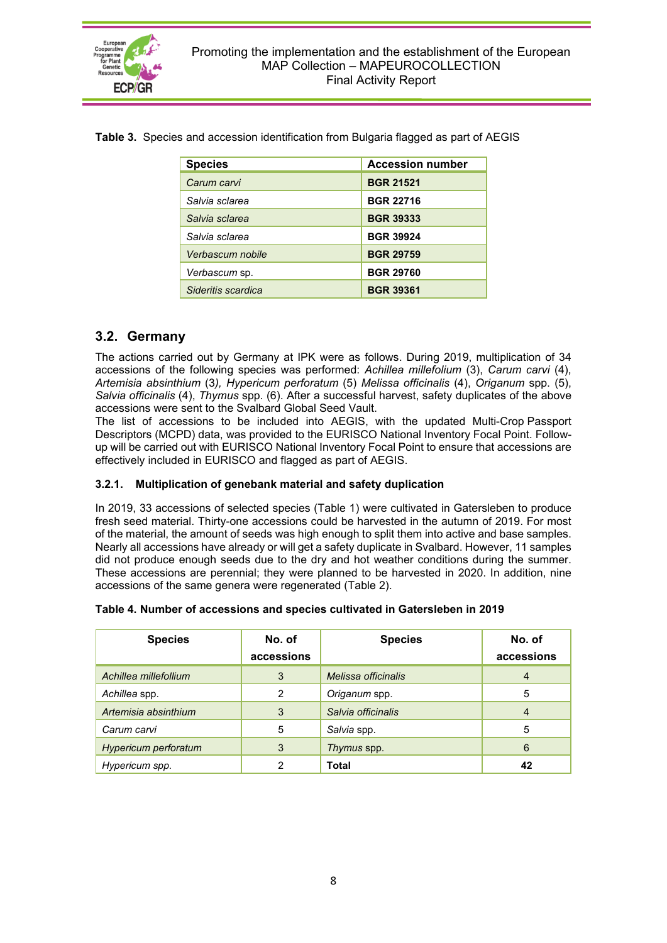

| <b>Species</b>     | <b>Accession number</b> |
|--------------------|-------------------------|
| Carum carvi        | <b>BGR 21521</b>        |
| Salvia sclarea     | <b>BGR 22716</b>        |
| Salvia sclarea     | <b>BGR 39333</b>        |
| Salvia sclarea     | <b>BGR 39924</b>        |
| Verbascum nobile   | <b>BGR 29759</b>        |
| Verbascum sp.      | <b>BGR 29760</b>        |
| Sideritis scardica | <b>BGR 39361</b>        |

**Table 3.** Species and accession identification from Bulgaria flagged as part of AEGIS

## <span id="page-7-0"></span>**3.2. Germany**

The actions carried out by Germany at IPK were as follows. During 2019, multiplication of 34 accessions of the following species was performed: *Achillea millefolium* (3), *Carum carvi* (4), *Artemisia absinthium* (3*), Hypericum perforatum* (5) *Melissa officinalis* (4), *Origanum* spp. (5), *Salvia officinalis* (4), *Thymus* spp. (6). After a successful harvest, safety duplicates of the above accessions were sent to the Svalbard Global Seed Vault.

The list of accessions to be included into AEGIS, with the updated Multi-Crop Passport Descriptors (MCPD) data, was provided to the EURISCO National Inventory Focal Point. Followup will be carried out with EURISCO National Inventory Focal Point to ensure that accessions are effectively included in EURISCO and flagged as part of AEGIS.

#### <span id="page-7-1"></span>**3.2.1. Multiplication of genebank material and safety duplication**

In 2019, 33 accessions of selected species (Table 1) were cultivated in Gatersleben to produce fresh seed material. Thirty-one accessions could be harvested in the autumn of 2019. For most of the material, the amount of seeds was high enough to split them into active and base samples. Nearly all accessions have already or will get a safety duplicate in Svalbard. However, 11 samples did not produce enough seeds due to the dry and hot weather conditions during the summer. These accessions are perennial; they were planned to be harvested in 2020. In addition, nine accessions of the same genera were regenerated (Table 2).

| Table 4. Number of accessions and species cultivated in Gatersleben in 2019 |  |  |
|-----------------------------------------------------------------------------|--|--|
|                                                                             |  |  |

| <b>Species</b>        | No. of<br>accessions | <b>Species</b>      |                |  |  |
|-----------------------|----------------------|---------------------|----------------|--|--|
| Achillea millefollium | 3                    | Melissa officinalis | 4              |  |  |
| Achillea spp.         | 2                    | Origanum spp.       | 5              |  |  |
| Artemisia absinthium  | 3                    | Salvia officinalis  | $\overline{4}$ |  |  |
| Carum carvi           | 5                    | Salvia spp.         | 5              |  |  |
| Hypericum perforatum  | 3                    | Thymus spp.         | 6              |  |  |
| Hypericum spp.        | っ                    | <b>Total</b>        | 42             |  |  |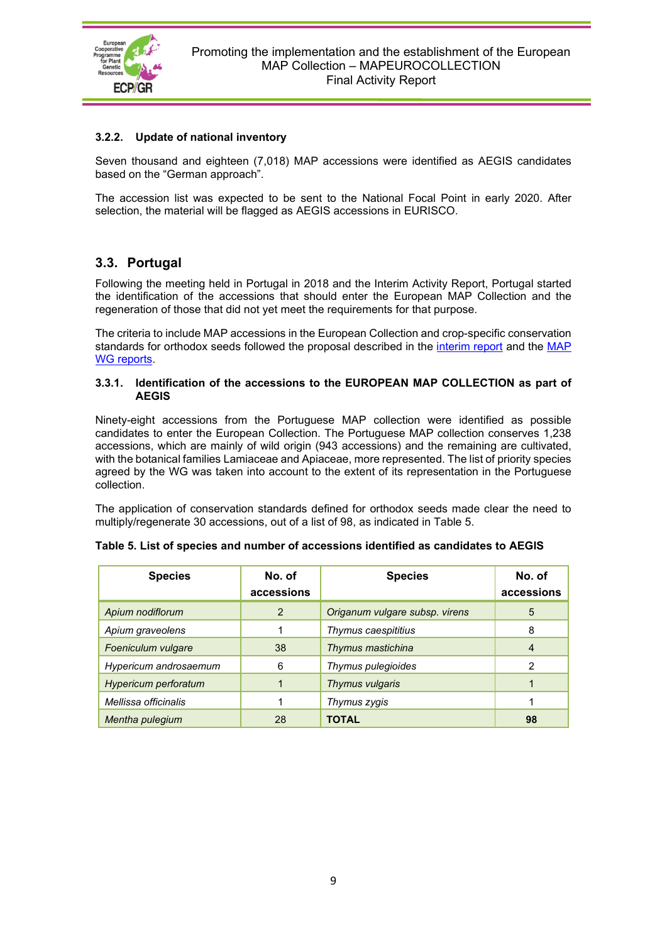

#### <span id="page-8-0"></span>**3.2.2. Update of national inventory**

Seven thousand and eighteen (7,018) MAP accessions were identified as AEGIS candidates based on the "German approach".

The accession list was expected to be sent to the National Focal Point in early 2020. After selection, the material will be flagged as AEGIS accessions in EURISCO.

#### <span id="page-8-1"></span>**3.3. Portugal**

Following the meeting held in Portugal in 2018 and the Interim Activity Report, Portugal started the identification of the accessions that should enter the European MAP Collection and the regeneration of those that did not yet meet the requirements for that purpose.

The criteria to include MAP accessions in the European Collection and crop-specific conservation standards for orthodox seeds followed the proposal described in the [interim report](https://www.ecpgr.cgiar.org/fileadmin/bioversity/publications/pdfs/MAPEUROCOLLECTION_Interim_Activity_Report_Final_web_07_08_2018.pdf) and the MAP [WG reports](https://www.ecpgr.cgiar.org/working-groups/medicinal-and-aromatic-plants/medicinal-and-aromatic-plants-working-group-documents-and-publications-of-interest).

#### <span id="page-8-2"></span>**3.3.1. Identification of the accessions to the EUROPEAN MAP COLLECTION as part of AEGIS**

Ninety-eight accessions from the Portuguese MAP collection were identified as possible candidates to enter the European Collection. The Portuguese MAP collection conserves 1,238 accessions, which are mainly of wild origin (943 accessions) and the remaining are cultivated, with the botanical families Lamiaceae and Apiaceae, more represented. The list of priority species agreed by the WG was taken into account to the extent of its representation in the Portuguese collection.

The application of conservation standards defined for orthodox seeds made clear the need to multiply/regenerate 30 accessions, out of a list of 98, as indicated in Table 5.

| <b>Species</b>        | <b>Species</b> | No. of<br>accessions           |    |
|-----------------------|----------------|--------------------------------|----|
| Apium nodiflorum      | 2              | Origanum vulgare subsp. virens | 5  |
| Apium graveolens      |                | Thymus caespititius            | 8  |
| Foeniculum vulgare    | 38             | Thymus mastichina              | 4  |
| Hypericum androsaemum | 6              | Thymus pulegioides             | 2  |
| Hypericum perforatum  |                | Thymus vulgaris                |    |
| Mellissa officinalis  |                | Thymus zygis                   |    |
| Mentha pulegium       | 28             | TOTAL                          | 98 |

| Table 5. List of species and number of accessions identified as candidates to AEGIS |  |
|-------------------------------------------------------------------------------------|--|
|-------------------------------------------------------------------------------------|--|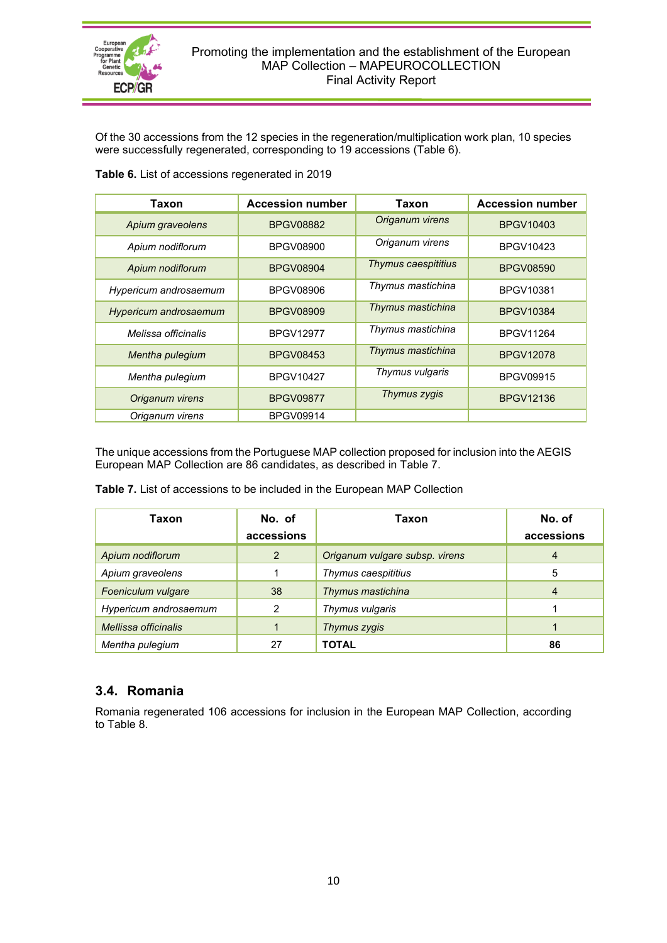

Of the 30 accessions from the 12 species in the regeneration/multiplication work plan, 10 species were successfully regenerated, corresponding to 19 accessions (Table 6).

| Taxon                 | <b>Accession number</b> | Taxon               | <b>Accession number</b> |
|-----------------------|-------------------------|---------------------|-------------------------|
| Apium graveolens      | <b>BPGV08882</b>        | Origanum virens     | <b>BPGV10403</b>        |
| Apium nodiflorum      | <b>BPGV08900</b>        | Origanum virens     | <b>BPGV10423</b>        |
| Apium nodiflorum      | <b>BPGV08904</b>        | Thymus caespititius | <b>BPGV08590</b>        |
| Hypericum androsaemum | BPGV08906               | Thymus mastichina   | BPGV10381               |
| Hypericum androsaemum | <b>BPGV08909</b>        | Thymus mastichina   | <b>BPGV10384</b>        |
| Melissa officinalis   | <b>BPGV12977</b>        | Thymus mastichina   | <b>BPGV11264</b>        |
| Mentha pulegium       | <b>BPGV08453</b>        | Thymus mastichina   | <b>BPGV12078</b>        |
| Mentha pulegium       | <b>BPGV10427</b>        | Thymus vulgaris     | <b>BPGV09915</b>        |
| Origanum virens       | <b>BPGV09877</b>        | Thymus zygis        | <b>BPGV12136</b>        |
| Origanum virens       | <b>BPGV09914</b>        |                     |                         |

**Table 6.** List of accessions regenerated in 2019

The unique accessions from the Portuguese MAP collection proposed for inclusion into the AEGIS European MAP Collection are 86 candidates, as described in Table 7.

**Table 7.** List of accessions to be included in the European MAP Collection

| Taxon                 | No. of     | Taxon                          | No. of     |
|-----------------------|------------|--------------------------------|------------|
|                       | accessions |                                | accessions |
| Apium nodiflorum      | 2          | Origanum vulgare subsp. virens | 4          |
| Apium graveolens      |            | Thymus caespititius            | 5          |
| Foeniculum vulgare    | 38         | Thymus mastichina              | 4          |
| Hypericum androsaemum | 2          | Thymus vulgaris                |            |
| Mellissa officinalis  |            | Thymus zygis                   |            |
| Mentha pulegium       | 27         | <b>TOTAL</b>                   | 86         |

## <span id="page-9-0"></span>**3.4. Romania**

Romania regenerated 106 accessions for inclusion in the European MAP Collection, according to Table 8.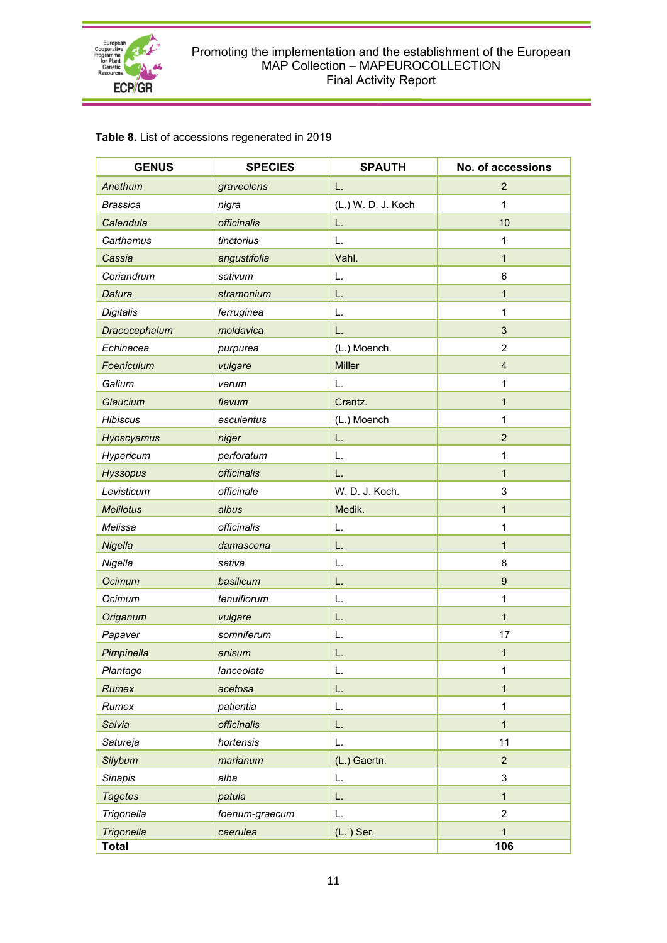

#### Promoting the implementation and the establishment of the European MAP Collection – MAPEUROCOLLECTION Final Activity Report

| <b>GENUS</b>      | <b>SPECIES</b> | <b>SPAUTH</b>      | No. of accessions |
|-------------------|----------------|--------------------|-------------------|
| Anethum           | graveolens     | L.                 | $\overline{2}$    |
| <b>Brassica</b>   | nigra          | (L.) W. D. J. Koch | 1                 |
| Calendula         | officinalis    | L.                 | 10                |
| Carthamus         | tinctorius     | L.                 | 1                 |
| Cassia            | angustifolia   | Vahl.              | $\mathbf{1}$      |
| Coriandrum        | sativum        | L.                 | 6                 |
| Datura            | stramonium     | L.                 | $\mathbf{1}$      |
| Digitalis         | ferruginea     | L.                 | 1                 |
| Dracocephalum     | moldavica      | L.                 | 3                 |
| Echinacea         | purpurea       | (L.) Moench.       | $\overline{2}$    |
| Foeniculum        | vulgare        | <b>Miller</b>      | $\overline{4}$    |
| Galium            | verum          | L.                 | 1                 |
| Glaucium          | flavum         | Crantz.            | $\mathbf{1}$      |
| <b>Hibiscus</b>   | esculentus     | (L.) Moench        | 1                 |
| Hyoscyamus        | niger          | L.                 | $\overline{2}$    |
| Hypericum         | perforatum     | L.                 | 1                 |
| <b>Hyssopus</b>   | officinalis    | L.                 | $\mathbf{1}$      |
| Levisticum        | officinale     | W. D. J. Koch.     | 3                 |
| <b>Melilotus</b>  | albus          | Medik.             | $\mathbf{1}$      |
| Melissa           | officinalis    | L.                 | 1                 |
| Nigella           | damascena      | L.                 | $\mathbf{1}$      |
| Nigella           | sativa         | L.                 | 8                 |
| Ocimum            | basilicum      | L.                 | $\boldsymbol{9}$  |
| Ocimum            | tenuiflorum    | L.                 | 1                 |
| Origanum          | vulgare        | L.                 | $\mathbf{1}$      |
| Papaver           | somniferum     | L.                 | 17                |
| Pimpinella        | anisum         | L.                 | 1                 |
| Plantago          | lanceolata     | L.                 | $\mathbf 1$       |
| Rumex             | acetosa        | L.                 | $\mathbf{1}$      |
| Rumex             | patientia      | L.                 | 1                 |
| Salvia            | officinalis    | L.                 | $\mathbf{1}$      |
| Satureja          | hortensis      | L.                 | 11                |
| <b>Silybum</b>    | marianum       | (L.) Gaertn.       | $\overline{2}$    |
| <b>Sinapis</b>    | alba           | L.                 | 3                 |
| <b>Tagetes</b>    | patula         | L.                 | $\mathbf{1}$      |
| Trigonella        | foenum-graecum | L.                 | $\overline{c}$    |
| <b>Trigonella</b> | caerulea       | $(L. )$ Ser.       | $\mathbf{1}$      |
| <b>Total</b>      |                |                    | 106               |

## **Table 8.** List of accessions regenerated in 2019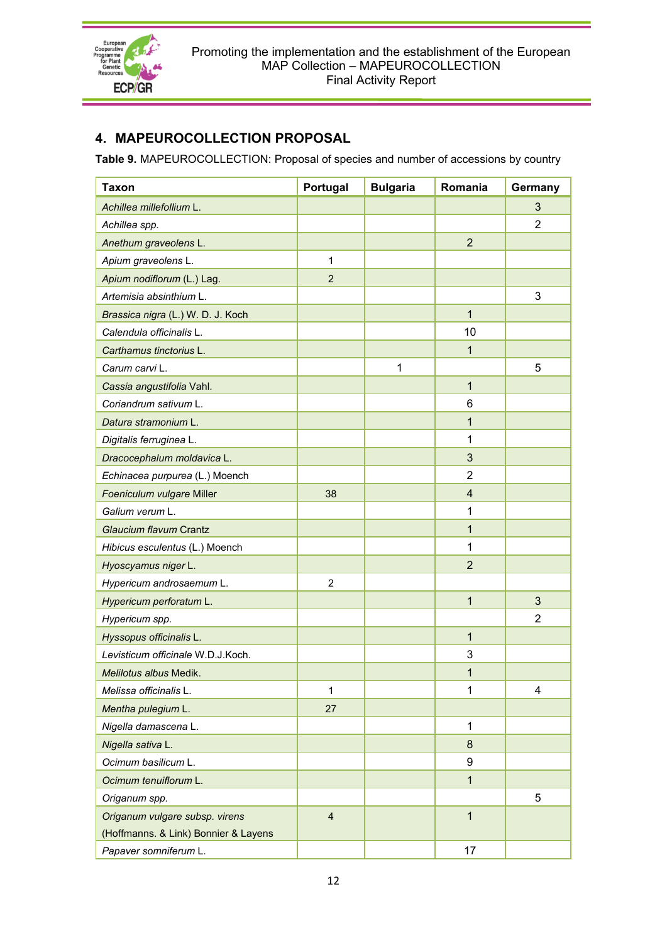

# <span id="page-11-0"></span>**4. MAPEUROCOLLECTION PROPOSAL**

**Table 9.** MAPEUROCOLLECTION: Proposal of species and number of accessions by country

| <b>Taxon</b>                         | Portugal       | <b>Bulgaria</b> | Romania        | Germany        |
|--------------------------------------|----------------|-----------------|----------------|----------------|
| Achillea millefollium L.             |                |                 |                | 3              |
| Achillea spp.                        |                |                 |                | 2              |
| Anethum graveolens L.                |                |                 | $\overline{2}$ |                |
| Apium graveolens L.                  | 1              |                 |                |                |
| Apium nodiflorum (L.) Lag.           | $\overline{2}$ |                 |                |                |
| Artemisia absinthium L.              |                |                 |                | 3              |
| Brassica nigra (L.) W. D. J. Koch    |                |                 | $\mathbf{1}$   |                |
| Calendula officinalis L.             |                |                 | 10             |                |
| Carthamus tinctorius L.              |                |                 | 1              |                |
| Carum carvi L.                       |                | 1               |                | 5              |
| Cassia angustifolia Vahl.            |                |                 | $\mathbf{1}$   |                |
| Coriandrum sativum L.                |                |                 | 6              |                |
| Datura stramonium L.                 |                |                 | 1              |                |
| Digitalis ferruginea L.              |                |                 | 1              |                |
| Dracocephalum moldavica L.           |                |                 | 3              |                |
| Echinacea purpurea (L.) Moench       |                |                 | $\overline{2}$ |                |
| Foeniculum vulgare Miller            | 38             |                 | 4              |                |
| Galium verum L.                      |                |                 | 1              |                |
| Glaucium flavum Crantz               |                |                 | $\mathbf{1}$   |                |
| Hibicus esculentus (L.) Moench       |                |                 | 1              |                |
| Hyoscyamus niger L.                  |                |                 | $\overline{2}$ |                |
| Hypericum androsaemum L.             | $\overline{2}$ |                 |                |                |
| Hypericum perforatum L.              |                |                 | 1              | 3              |
| Hypericum spp.                       |                |                 |                | $\overline{2}$ |
| Hyssopus officinalis L.              |                |                 | $\mathbf{1}$   |                |
| Levisticum officinale W.D.J.Koch.    |                |                 | 3              |                |
| Melilotus albus Medik.               |                |                 | 1              |                |
| Melissa officinalis L.               | $\mathbf{1}$   |                 | $\mathbf{1}$   | $\overline{4}$ |
| Mentha pulegium L.                   | 27             |                 |                |                |
| Nigella damascena L.                 |                |                 | $\mathbf{1}$   |                |
| Nigella sativa L.                    |                |                 | 8              |                |
| Ocimum basilicum L.                  |                |                 | 9              |                |
| Ocimum tenuiflorum L.                |                |                 | $\mathbf{1}$   |                |
| Origanum spp.                        |                |                 |                | 5              |
| Origanum vulgare subsp. virens       | $\overline{4}$ |                 | $\mathbf{1}$   |                |
| (Hoffmanns. & Link) Bonnier & Layens |                |                 |                |                |
| Papaver somniferum L.                |                |                 | 17             |                |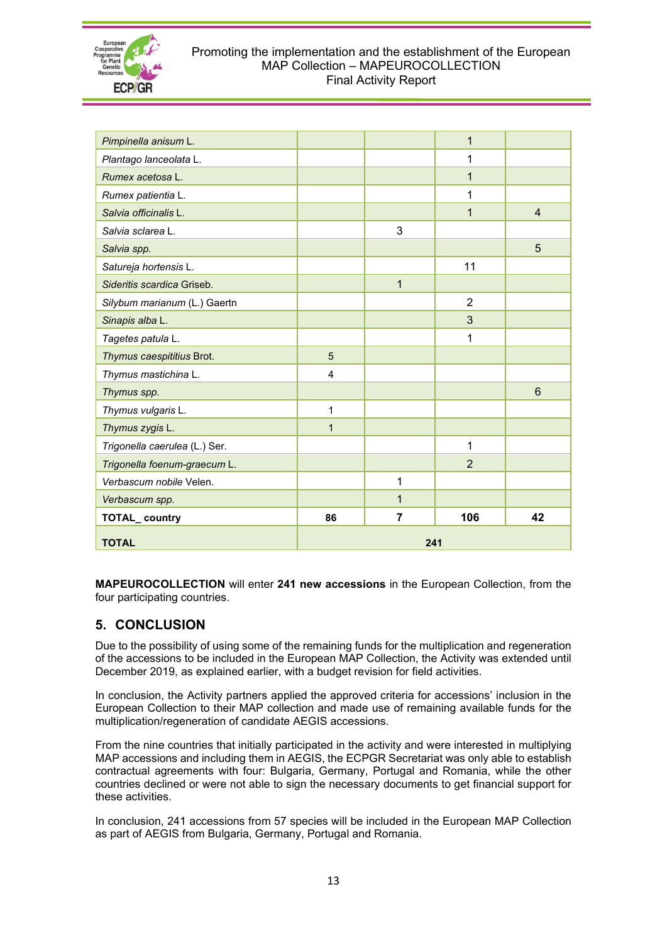

#### Promoting the implementation and the establishment of the European MAP Collection – MAPEUROCOLLECTION Final Activity Report

| <b>TOTAL</b>                  | 241            |                |                |                |  |  |  |
|-------------------------------|----------------|----------------|----------------|----------------|--|--|--|
| TOTAL_country                 | 86             | $\overline{7}$ | 106            | 42             |  |  |  |
| Verbascum spp.                |                | 1              |                |                |  |  |  |
| Verbascum nobile Velen.       |                | 1              |                |                |  |  |  |
| Trigonella foenum-graecum L.  |                |                | $\overline{2}$ |                |  |  |  |
| Trigonella caerulea (L.) Ser. |                |                | 1              |                |  |  |  |
| Thymus zygis L.               | $\mathbf{1}$   |                |                |                |  |  |  |
| Thymus vulgaris L.            | 1              |                |                |                |  |  |  |
| Thymus spp.                   |                |                |                | 6              |  |  |  |
| Thymus mastichina L.          | $\overline{4}$ |                |                |                |  |  |  |
| Thymus caespititius Brot.     | 5              |                |                |                |  |  |  |
| Tagetes patula L.             |                |                | 1              |                |  |  |  |
| Sinapis alba L.               |                |                | 3              |                |  |  |  |
| Silybum marianum (L.) Gaertn  |                |                | $\overline{2}$ |                |  |  |  |
| Sideritis scardica Griseb.    |                | $\mathbf{1}$   |                |                |  |  |  |
| Satureja hortensis L.         |                |                | 11             |                |  |  |  |
| Salvia spp.                   |                |                |                | 5              |  |  |  |
| Salvia sclarea L.             |                | 3              |                |                |  |  |  |
| Salvia officinalis L.         |                |                | $\mathbf{1}$   | $\overline{4}$ |  |  |  |
| Rumex patientia L.            |                |                | 1              |                |  |  |  |
| Rumex acetosa L.              |                |                | $\mathbf{1}$   |                |  |  |  |
| Plantago lanceolata L.        |                |                | 1              |                |  |  |  |
| Pimpinella anisum L.          |                |                | $\mathbf{1}$   |                |  |  |  |

**MAPEUROCOLLECTION** will enter **241 new accessions** in the European Collection, from the four participating countries.

## <span id="page-12-0"></span>**5. CONCLUSION**

Due to the possibility of using some of the remaining funds for the multiplication and regeneration of the accessions to be included in the European MAP Collection, the Activity was extended until December 2019, as explained earlier, with a budget revision for field activities.

In conclusion, the Activity partners applied the approved criteria for accessions' inclusion in the European Collection to their MAP collection and made use of remaining available funds for the multiplication/regeneration of candidate AEGIS accessions.

From the nine countries that initially participated in the activity and were interested in multiplying MAP accessions and including them in AEGIS, the ECPGR Secretariat was only able to establish contractual agreements with four: Bulgaria, Germany, Portugal and Romania, while the other countries declined or were not able to sign the necessary documents to get financial support for these activities.

In conclusion, 241 accessions from 57 species will be included in the European MAP Collection as part of AEGIS from Bulgaria, Germany, Portugal and Romania.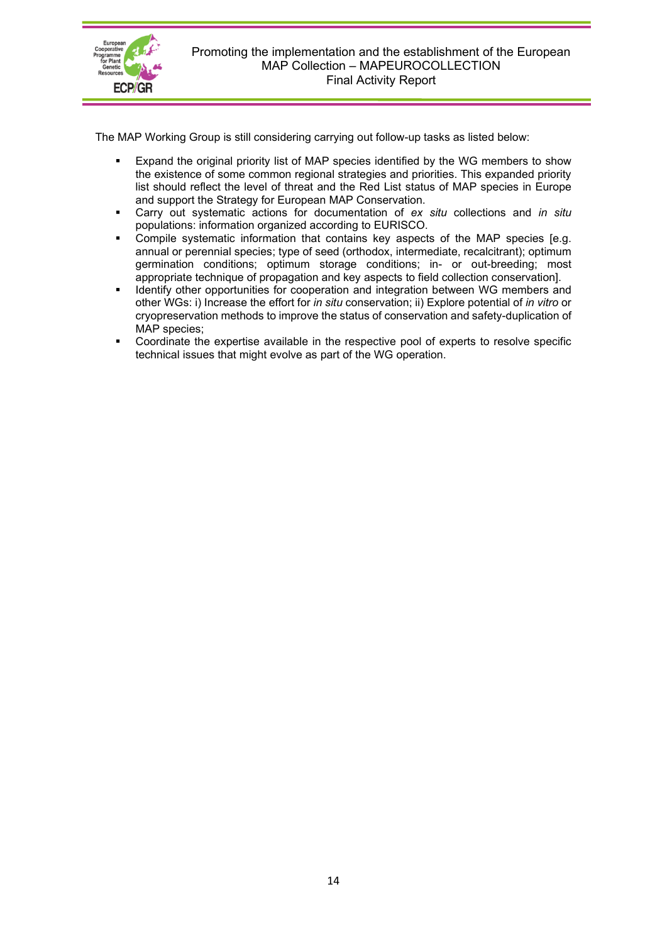

The MAP Working Group is still considering carrying out follow-up tasks as listed below:

- Expand the original priority list of MAP species identified by the WG members to show the existence of some common regional strategies and priorities. This expanded priority list should reflect the level of threat and the Red List status of MAP species in Europe and support the Strategy for European MAP Conservation.
- Carry out systematic actions for documentation of *ex situ* collections and *in situ* populations: information organized according to EURISCO.
- Compile systematic information that contains key aspects of the MAP species [e.g. annual or perennial species; type of seed (orthodox, intermediate, recalcitrant); optimum germination conditions; optimum storage conditions; in- or out-breeding; most appropriate technique of propagation and key aspects to field collection conservation].
- Identify other opportunities for cooperation and integration between WG members and other WGs: i) Increase the effort for *in situ* conservation; ii) Explore potential of *in vitro* or cryopreservation methods to improve the status of conservation and safety-duplication of MAP species;
- Coordinate the expertise available in the respective pool of experts to resolve specific technical issues that might evolve as part of the WG operation.